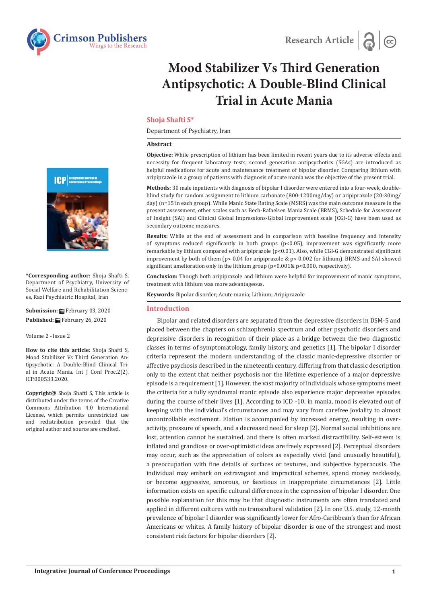



# **Mood Stabilizer Vs Third Generation Antipsychotic: A Double-Blind Clinical Trial in Acute Mania**

# **Shoja Shafti S\***

Department of Psychiatry, Iran

#### **Abstract**

**Objective:** While prescription of lithium has been limited in recent years due to its adverse effects and necessity for frequent laboratory tests, second generation antipsychotics (SGAs) are introduced as helpful medications for acute and maintenance treatment of bipolar disorder. Comparing lithium with aripiprazole in a group of patients with diagnosis of acute mania was the objective of the present trial.

**Methods**: 30 male inpatients with diagnosis of bipolar I disorder were entered into a four-week, doubleblind study for random assignment to lithium carbonate (800-1200mg/day) or aripiprazole (20-30mg/ day) (n=15 in each group). While Manic State Rating Scale (MSRS) was the main outcome measure in the present assessment, other scales such as Bech-Rafaelsen Mania Scale (BRMS), Schedule for Assessment of Insight (SAI) and Clinical Global Impressions-Global Improvement scale (CGI-G) have been used as secondary outcome measures.

**Results:** While at the end of assessment and in comparison with baseline frequency and intensity of symptoms reduced significantly in both groups  $(p<0.05)$ , improvement was significantly more remarkable by lithium compared with aripiprazole (p<0.01). Also, while CGI-G demonstrated significant improvement by both of them (p< 0.04 for aripiprazole & p< 0.002 for lithium), BRMS and SAI showed significant amelioration only in the lithium group (p<0.001& p<0.000, respectively).

**Conclusion:** Though both aripiprazole and lithium were helpful for improvement of manic symptoms, treatment with lithium was more advantageous.

**Keywords:** Bipolar disorder; Acute mania; Lithium; Aripiprazole

## **Introduction**

Bipolar and related disorders are separated from the depressive disorders in DSM-5 and placed between the chapters on schizophrenia spectrum and other psychotic disorders and depressive disorders in recognition of their place as a bridge between the two diagnostic classes in terms of symptomatology, family history, and genetics [1]. The bipolar I disorder criteria represent the modern understanding of the classic manic-depressive disorder or affective psychosis described in the nineteenth century, differing from that classic description only to the extent that neither psychosis nor the lifetime experience of a major depressive episode is a requirement [1]. However, the vast majority of individuals whose symptoms meet the criteria for a fully syndromal manic episode also experience major depressive episodes during the course of their lives [1]. According to ICD -10, in mania, mood is elevated out of keeping with the individual's circumstances and may vary from carefree joviality to almost uncontrollable excitement. Elation is accompanied by increased energy, resulting in overactivity, pressure of speech, and a decreased need for sleep [2]. Normal social inhibitions are lost, attention cannot be sustained, and there is often marked distractibility. Self-esteem is inflated and grandiose or over-optimistic ideas are freely expressed [2]. Perceptual disorders may occur, such as the appreciation of colors as especially vivid (and unusually beautiful), a preoccupation with fine details of surfaces or textures, and subjective hyperacusis. The individual may embark on extravagant and impractical schemes, spend money recklessly, or become aggressive, amorous, or facetious in inappropriate circumstances [2]. Little information exists on specific cultural differences in the expression of bipolar I disorder. One possible explanation for this may be that diagnostic instruments are often translated and applied in different cultures with no transcultural validation [2]. In one U.S. study, 12-month prevalence of bipolar I disorder was significantly lower for Afro-Caribbean's than for African Americans or whites. A family history of bipolar disorder is one of the strongest and most consistent risk factors for bipolar disorders [2].



**\*Corresponding author:** Shoja Shafti S, Department of Psychiatry, University of Social Welfare and Rehabilitation Sciences, Razi Psychiatric Hospital, Iran

**Submission:** ■ February 03, 2020 **Published:** February 26, 2020

Volume 2 - Issue 2

**How to cite this article:** Shoja Shafti S, Mood Stabilizer Vs Third Generation Antipsychotic: A Double-Blind Clinical Trial in Acute Mania. Int J Conf Proc.2(2). ICP.000533.2020.

**Copyright@** Shoja Shafti S, This article is distributed under the terms of the Creative Commons Attribution 4.0 International License, which permits unrestricted use and redistribution provided that the original author and source are credited.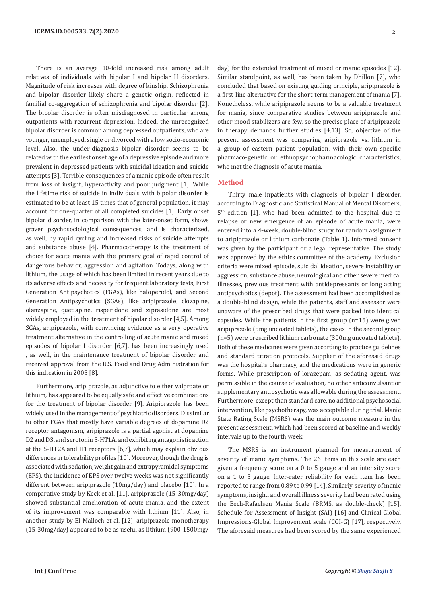There is an average 10-fold increased risk among adult relatives of individuals with bipolar I and bipolar II disorders. Magnitude of risk increases with degree of kinship. Schizophrenia and bipolar disorder likely share a genetic origin, reflected in familial co-aggregation of schizophrenia and bipolar disorder [2]. The bipolar disorder is often misdiagnosed in particular among outpatients with recurrent depression. Indeed, the unrecognized bipolar disorder is common among depressed outpatients, who are younger, unemployed, single or divorced with a low socio-economic level. Also, the under-diagnosis bipolar disorder seems to be related with the earliest onset age of a depressive episode and more prevalent in depressed patients with suicidal ideation and suicide attempts [3]. Terrible consequences of a manic episode often result from loss of insight, hyperactivity and poor judgment [1]. While the lifetime risk of suicide in individuals with bipolar disorder is estimated to be at least 15 times that of general population, it may account for one-quarter of all completed suicides [1]. Early onset bipolar disorder, in comparison with the later-onset form, shows graver psychosociological consequences, and is characterized, as well, by rapid cycling and increased risks of suicide attempts and substance abuse [4]. Pharmacotherapy is the treatment of choice for acute mania with the primary goal of rapid control of dangerous behavior, aggression and agitation. Todays, along with lithium, the usage of which has been limited in recent years due to its adverse effects and necessity for frequent laboratory tests, First Generation Antipsychotics (FGAs), like haloperidol, and Second Generation Antipsychotics (SGAs), like aripiprazole, clozapine, olanzapine, quetiapine, risperidone and ziprasidone are most widely employed in the treatment of bipolar disorder [4,5]. Among SGAs, aripiprazole, with convincing evidence as a very operative treatment alternative in the controlling of acute manic and mixed episodes of bipolar I disorder [6,7], has been increasingly used , as well, in the maintenance treatment of bipolar disorder and received approval from the U.S. Food and Drug Administration for this indication in 2005 [8].

Furthermore, aripiprazole, as adjunctive to either valproate or lithium, has appeared to be equally safe and effective combinations for the treatment of bipolar disorder [9]. Aripiprazole has been widely used in the management of psychiatric disorders. Dissimilar to other FGAs that mostly have variable degrees of dopamine D2 receptor antagonism, aripiprazole is a partial agonist at dopamine D2 and D3, and serotonin 5-HT1A, and exhibiting antagonistic action at the 5-HT2A and H1 receptors [6,7], which may explain obvious differences in tolerability profiles [10]. Moreover, though the drug is associated with sedation, weight gain and extrapyramidal symptoms (EPS), the incidence of EPS over twelve weeks was not significantly different between aripiprazole (10mg/day) and placebo [10]. In a comparative study by Keck et al. [11], aripiprazole (15-30mg/day) showed substantial amelioration of acute mania, and the extent of its improvement was comparable with lithium [11]. Also, in another study by El-Malloch et al. [12], aripiprazole monotherapy (15-30mg/day) appeared to be as useful as lithium (900-1500mg/

day) for the extended treatment of mixed or manic episodes [12]. Similar standpoint, as well, has been taken by Dhillon [7], who concluded that based on existing guiding principle, aripiprazole is a first-line alternative for the short-term management of mania [7]. Nonetheless, while aripiprazole seems to be a valuable treatment for mania, since comparative studies between aripiprazole and other mood stabilizers are few, so the precise place of aripiprazole in therapy demands further studies [4,13]. So, objective of the present assessment was comparing aripiprazole vs. lithium in a group of eastern patient population, with their own specific pharmaco-genetic or ethnopsychopharmacologic characteristics, who met the diagnosis of acute mania.

# **Method**

Thirty male inpatients with diagnosis of bipolar I disorder, according to Diagnostic and Statistical Manual of Mental Disorders, 5<sup>th</sup> edition [1], who had been admitted to the hospital due to relapse or new emergence of an episode of acute mania, were entered into a 4-week, double-blind study, for random assignment to aripiprazole or lithium carbonate (Table 1). Informed consent was given by the participant or a legal representative. The study was approved by the ethics committee of the academy. Exclusion criteria were mixed episode, suicidal ideation, severe instability or aggression, substance abuse, neurological and other severe medical illnesses, previous treatment with antidepressants or long acting antipsychotics (depot). The assessment had been accomplished as a double-blind design, while the patients, staff and assessor were unaware of the prescribed drugs that were packed into identical capsules. While the patients in the first group (n=15) were given aripiprazole (5mg uncoated tablets), the cases in the second group (n=5) were prescribed lithium carbonate (300mg uncoated tablets). Both of these medicines were given according to practice guidelines and standard titration protocols. Supplier of the aforesaid drugs was the hospital's pharmacy, and the medications were in generic forms. While prescription of lorazepam, as sedating agent, was permissible in the course of evaluation, no other anticonvulsant or supplementary antipsychotic was allowable during the assessment. Furthermore, except than standard care, no additional psychosocial intervention, like psychotherapy, was acceptable during trial. Manic State Rating Scale (MSRS) was the main outcome measure in the present assessment, which had been scored at baseline and weekly intervals up to the fourth week.

The MSRS is an instrument planned for measurement of severity of manic symptoms. The 26 items in this scale are each given a frequency score on a 0 to 5 gauge and an intensity score on a 1 to 5 gauge. Inter-rater reliability for each item has been reported to range from 0.89 to 0.99 [14]. Similarly, severity of manic symptoms, insight, and overall illness severity had been rated using the Bech-Rafaelsen Mania Scale (BRMS, as double-check) [15], Schedule for Assessment of Insight (SAI) [16] and Clinical Global Impressions-Global Improvement scale (CGI-G) [17], respectively. The aforesaid measures had been scored by the same experienced

**2**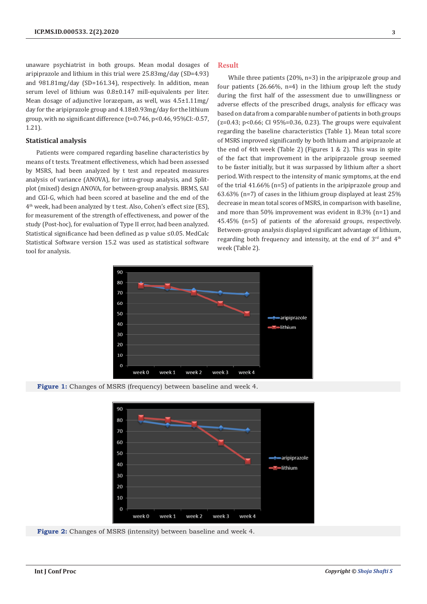unaware psychiatrist in both groups. Mean modal dosages of aripiprazole and lithium in this trial were 25.83mg/day (SD=4.93) and 981.81mg/day (SD=161.34), respectively. In addition, mean serum level of lithium was 0.8±0.147 mill-equivalents per liter. Mean dosage of adjunctive lorazepam, as well, was 4.5±1.11mg/ day for the aripiprazole group and 4.18±0.93mg/day for the lithium group, with no significant difference (t=0.746, p<0.46, 95%CI:-0.57, 1.21).

### **Statistical analysis**

Patients were compared regarding baseline characteristics by means of t tests. Treatment effectiveness, which had been assessed by MSRS, had been analyzed by t test and repeated measures analysis of variance (ANOVA), for intra-group analysis, and Splitplot (mixed) design ANOVA, for between-group analysis. BRMS, SAI and CGI-G, which had been scored at baseline and the end of the 4<sup>th</sup> week, had been analyzed by t test. Also, Cohen's effect size (ES), for measurement of the strength of effectiveness, and power of the study (Post-hoc), for evaluation of Type II error, had been analyzed. Statistical significance had been defined as p value ≤0.05. MedCalc Statistical Software version 15.2 was used as statistical software tool for analysis.

#### **Result**

While three patients (20%, n=3) in the aripiprazole group and four patients  $(26.66\% \text{ n=4})$  in the lithium group left the study during the first half of the assessment due to unwillingness or adverse effects of the prescribed drugs, analysis for efficacy was based on data from a comparable number of patients in both groups  $(z=0.43; p<0.66; C195%=0.36, 0.23)$ . The groups were equivalent regarding the baseline characteristics (Table 1). Mean total score of MSRS improved significantly by both lithium and aripiprazole at the end of 4th week (Table 2) (Figures 1 & 2). This was in spite of the fact that improvement in the aripiprazole group seemed to be faster initially, but it was surpassed by lithium after a short period. With respect to the intensity of manic symptoms, at the end of the trial 41.66% (n=5) of patients in the aripiprazole group and 63.63% (n=7) of cases in the lithium group displayed at least 25% decrease in mean total scores of MSRS, in comparison with baseline, and more than 50% improvement was evident in 8.3% (n=1) and 45.45% (n=5) of patients of the aforesaid groups, respectively. Between-group analysis displayed significant advantage of lithium, regarding both frequency and intensity, at the end of  $3<sup>rd</sup>$  and  $4<sup>th</sup>$ week (Table 2).



**Figure 1:** Changes of MSRS (frequency) between baseline and week 4.



**Figure 2:** Changes of MSRS (intensity) between baseline and week 4.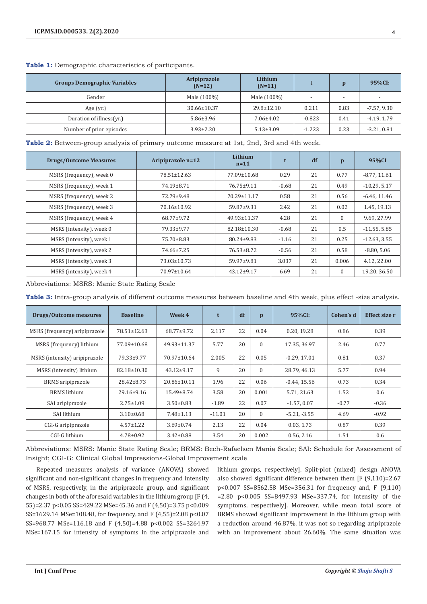| <b>Groups Demographic Variables</b> | Aripiprazole<br>Lithium<br>$(N=12)$<br>$(N=11)$ |                 |          |                          | 95%CI:                   |
|-------------------------------------|-------------------------------------------------|-----------------|----------|--------------------------|--------------------------|
| Gender                              | Male (100%)                                     | Male (100%)     | . .      | $\overline{\phantom{a}}$ | $\overline{\phantom{a}}$ |
| Age $(yr.)$                         | $30.66 \pm 10.37$                               | 29.8±12.10      | 0.211    | 0.83                     | $-7.57, 9.30$            |
| Duration of illness(yr.)            | $5.86 \pm 3.96$                                 | $7.06 \pm 4.02$ | $-0.823$ | 0.41                     | $-4.19, 1.79$            |
| Number of prior episodes            | $3.93 \pm 2.20$                                 | $5.13 \pm 3.09$ | $-1.223$ | 0.23                     | $-3.21, 0.81$            |

# **Table 1:** Demographic characteristics of participants.

**Table 2:** Between-group analysis of primary outcome measure at 1st, 2nd, 3rd and 4th week.

| <b>Drugs/Outcome Measures</b> | Aripiprazole n=12 | <b>Lithium</b><br>$n=11$ |         | df | $\mathbf{p}$ | 95%CI          |
|-------------------------------|-------------------|--------------------------|---------|----|--------------|----------------|
| MSRS (frequency), week 0      | 78.51±12.63       | 77.09±10.68              | 0.29    | 21 | 0.77         | $-8.77, 11.61$ |
| MSRS (frequency), week 1      | 74.19±8.71        | 76.75±9.11               | $-0.68$ | 21 | 0.49         | $-10.29, 5.17$ |
| MSRS (frequency), week 2      | 72.79±9.48        | 70.29±11.17              | 0.58    | 21 | 0.56         | $-6.46, 11.46$ |
| MSRS (frequency), week 3      | 70.16±10.92       | $59.87+9.31$             | 2.42    | 21 | 0.02         | 1.45, 19.13    |
| MSRS (frequency), week 4      | 68.77±9.72        | 49.93±11.37              | 4.28    | 21 | $\Omega$     | 9.69, 27.99    |
| MSRS (intensity), week 0      | 79.33±9.77        | 82.18±10.30              | $-0.68$ | 21 | 0.5          | $-11.55, 5.85$ |
| MSRS (intensity), week 1      | 75.70±8.83        | 80.24±9.83               | $-1.16$ | 21 | 0.25         | $-12.63, 3.55$ |
| MSRS (intensity), week 2      | 74.66±7.25        | $76.53 \pm 8.72$         | $-0.56$ | 21 | 0.58         | $-8.80, 5.06$  |
| MSRS (intensity), week 3      | 73.03±10.73       | $59.97 \pm 9.81$         | 3.037   | 21 | 0.006        | 4.12, 22.00    |
| MSRS (intensity), week 4      | 70.97±10.64       | $43.12 \pm 9.17$         | 6.69    | 21 | $\Omega$     | 19.20, 36.50   |

Abbreviations: MSRS: Manic State Rating Scale

| Table 3: Intra-group analysis of different outcome measures between baseline and 4th week, plus effect -size analysis. |  |
|------------------------------------------------------------------------------------------------------------------------|--|
|------------------------------------------------------------------------------------------------------------------------|--|

| Drugs/Outcome measures        | <b>Baseline</b>   | Week 4            | t        | df | $\mathbf{p}$ | 95%CI:         | Cohen's d | Effect size r |
|-------------------------------|-------------------|-------------------|----------|----|--------------|----------------|-----------|---------------|
| MSRS (frequency) aripiprazole | 78.51±12.63       | 68.77±9.72        | 2.117    | 22 | 0.04         | 0.20, 19.28    | 0.86      | 0.39          |
| MSRS (frequency) lithium      | 77.09±10.68       | 49.93±11.37       | 5.77     | 20 | 0            | 17.35.36.97    | 2.46      | 0.77          |
| MSRS (intensity) aripiprazole | 79.33±9.77        | 70.97±10.64       | 2.005    | 22 | 0.05         | $-0.29, 17.01$ | 0.81      | 0.37          |
| MSRS (intensity) lithium      | $82.18 \pm 10.30$ | $43.12 \pm 9.17$  | 9        | 20 | $\Omega$     | 28.79, 46.13   | 5.77      | 0.94          |
| BRMS aripiprazole             | $28.42 \pm 8.73$  | $20.86 \pm 10.11$ | 1.96     | 22 | 0.06         | $-0.44.15.56$  | 0.73      | 0.34          |
| <b>BRMS</b> lithium           | $29.16 \pm 9.16$  | $15.49 \pm 8.74$  | 3.58     | 20 | 0.001        | 5.71, 21.63    | 1.52      | 0.6           |
| SAI aripiprazole              | $2.75 \pm 1.09$   | $3.50 \pm 0.83$   | $-1.89$  | 22 | 0.07         | $-1.57, 0.07$  | $-0.77$   | $-0.36$       |
| SAI lithium                   | $3.10\pm0.68$     | $7.48 \pm 1.13$   | $-11.01$ | 20 | $\Omega$     | $-5.21, -3.55$ | 4.69      | $-0.92$       |
| CGI-G aripiprazole            | $4.57 \pm 1.22$   | $3.69 \pm 0.74$   | 2.13     | 22 | 0.04         | 0.03, 1.73     | 0.87      | 0.39          |
| CGI-G lithium                 | $4.78 \pm 0.92$   | $3.42 \pm 0.88$   | 3.54     | 20 | 0.002        | 0.56, 2.16     | 1.51      | 0.6           |

Abbreviations: MSRS: Manic State Rating Scale; BRMS: Bech-Rafaelsen Mania Scale; SAI: Schedule for Assessment of Insight; CGI-G: Clinical Global Impressions-Global Improvement scale

Repeated measures analysis of variance (ANOVA) showed significant and non-significant changes in frequency and intensity of MSRS, respectively, in the aripiprazole group, and significant changes in both of the aforesaid variables in the lithium group [F (4, 55)=2.37 p<0.05 SS=429.22 MSe=45.36 and F (4,50)=3.75 p<0.009 SS=1629.14 MSe=108.48, for frequency, and F (4,55)=2.08 p<0.07 SS=968.77 MSe=116.18 and F (4,50)=4.88 p<0.002 SS=3264.97 MSe=167.15 for intensity of symptoms in the aripiprazole and

lithium groups, respectively]. Split-plot (mixed) design ANOVA also showed significant difference between them [F (9,110)=2.67 p<0.007 SS=8562.58 MSe=356.31 for frequency and, F (9,110) =2.80 p<0.005 SS=8497.93 MSe=337.74, for intensity of the symptoms, respectively]. Moreover, while mean total score of BRMS showed significant improvement in the lithium group with a reduction around 46.87%, it was not so regarding aripiprazole with an improvement about 26.60%. The same situation was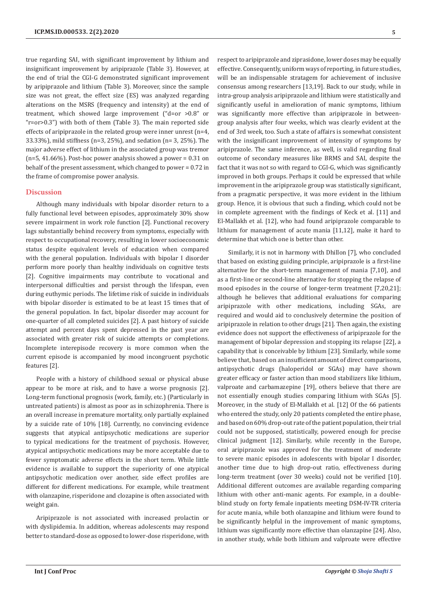true regarding SAI, with significant improvement by lithium and insignificant improvement by aripiprazole (Table 3). However, at the end of trial the CGI-G demonstrated significant improvement by aripiprazole and lithium (Table 3). Moreover, since the sample size was not great, the effect size (ES) was analyzed regarding alterations on the MSRS (frequency and intensity) at the end of treatment, which showed large improvement ("d=or >0.8" or "r=or>0.3") with both of them (Table 3). The main reported side effects of aripiprazole in the related group were inner unrest (n=4, 33.33%), mild stiffness (n=3, 25%), and sedation (n= 3, 25%). The major adverse effect of lithium in the associated group was tremor  $(n=5, 41.66\%)$ . Post-hoc power analysis showed a power = 0.31 on behalf of the present assessment, which changed to power = 0.72 in the frame of compromise power analysis.

## **Discussion**

Although many individuals with bipolar disorder return to a fully functional level between episodes, approximately 30% show severe impairment in work role function [2]. Functional recovery lags substantially behind recovery from symptoms, especially with respect to occupational recovery, resulting in lower socioeconomic status despite equivalent levels of education when compared with the general population. Individuals with bipolar I disorder perform more poorly than healthy individuals on cognitive tests [2]. Cognitive impairments may contribute to vocational and interpersonal difficulties and persist through the lifespan, even during euthymic periods. The lifetime risk of suicide in individuals with bipolar disorder is estimated to be at least 15 times that of the general population. In fact, bipolar disorder may account for one-quarter of all completed suicides [2]. A past history of suicide attempt and percent days spent depressed in the past year are associated with greater risk of suicide attempts or completions. Incomplete interepisode recovery is more common when the current episode is accompanied by mood incongruent psychotic features [2].

People with a history of childhood sexual or physical abuse appear to be more at risk, and to have a worse prognosis [2]. Long-term functional prognosis (work, family, etc.) (Particularly in untreated patients) is almost as poor as in schizophrenia. There is an overall increase in premature mortality, only partially explained by a suicide rate of 10% [18]. Currently, no convincing evidence suggests that atypical antipsychotic medications are superior to typical medications for the treatment of psychosis. However, atypical antipsychotic medications may be more acceptable due to fewer symptomatic adverse effects in the short term. While little evidence is available to support the superiority of one atypical antipsychotic medication over another, side effect profiles are different for different medications. For example, while treatment with olanzapine, risperidone and clozapine is often associated with weight gain.

Aripiprazole is not associated with increased prolactin or with dyslipidemia. In addition, whereas adolescents may respond better to standard-dose as opposed to lower-dose risperidone, with respect to aripiprazole and ziprasidone, lower doses may be equally effective. Consequently, uniform ways of reporting, in future studies, will be an indispensable stratagem for achievement of inclusive consensus among researchers [13,19]. Back to our study, while in intra-group analysis aripiprazole and lithium were statistically and significantly useful in amelioration of manic symptoms, lithium was significantly more effective than aripiprazole in betweengroup analysis after four weeks, which was clearly evident at the end of 3rd week, too. Such a state of affairs is somewhat consistent with the insignificant improvement of intensity of symptoms by aripiprazole. The same inference, as well, is valid regarding final outcome of secondary measures like BRMS and SAI, despite the fact that it was not so with regard to CGI-G, which was significantly improved in both groups. Perhaps it could be expressed that while improvement in the aripiprazole group was statistically significant, from a pragmatic perspective, it was more evident in the lithium group. Hence, it is obvious that such a finding, which could not be in complete agreement with the findings of Keck et al. [11] and El-Mallakh et al. [12], who had found aripiprazole comparable to lithium for management of acute mania [11,12], make it hard to determine that which one is better than other.

Similarly, it is not in harmony with Dhillon [7], who concluded that based on existing guiding principle, aripiprazole is a first-line alternative for the short-term management of mania [7,10], and as a first-line or second-line alternative for stopping the relapse of mood episodes in the course of longer-term treatment [7,20,21]; although he believes that additional evaluations for comparing aripiprazole with other medications, including SGAs, are required and would aid to conclusively determine the position of aripiprazole in relation to other drugs [21]. Then again, the existing evidence does not support the effectiveness of aripiprazole for the management of bipolar depression and stopping its relapse [22], a capability that is conceivable by lithium [23]. Similarly, while some believe that, based on an insufficient amount of direct comparisons, antipsychotic drugs (haloperidol or SGAs) may have shown greater efficacy or faster action than mood stabilizers like lithium, valproate and carbamazepine [19], others believe that there are not essentially enough studies comparing lithium with SGAs [5]. Moreover, in the study of El-Mallakh et al. [12] Of the 66 patients who entered the study, only 20 patients completed the entire phase, and based on 60% drop-out rate of the patient population, their trial could not be supposed, statistically, powered enough for precise clinical judgment [12]. Similarly, while recently in the Europe, oral aripiprazole was approved for the treatment of moderate to severe manic episodes in adolescents with bipolar I disorder, another time due to high drop-out ratio, effectiveness during long-term treatment (over 30 weeks) could not be verified [10]. Additional different outcomes are available regarding comparing lithium with other anti-manic agents. For example, in a doubleblind study on forty female inpatients meeting DSM-IV-TR criteria for acute mania, while both olanzapine and lithium were found to be significantly helpful in the improvement of manic symptoms, lithium was significantly more effective than olanzapine [24]. Also, in another study, while both lithium and valproate were effective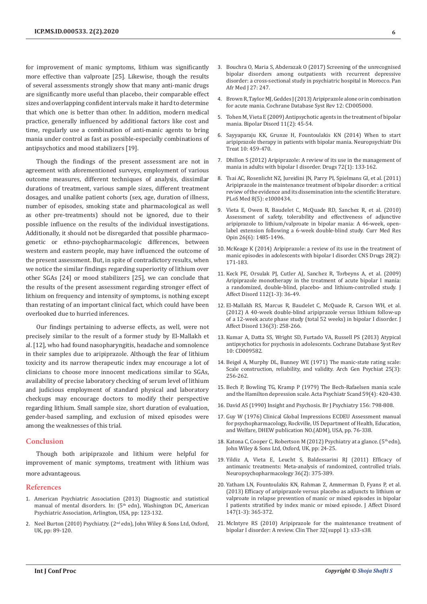for improvement of manic symptoms, lithium was significantly more effective than valproate [25]. Likewise, though the results of several assessments strongly show that many anti-manic drugs are significantly more useful than placebo, their comparable effect sizes and overlapping confident intervals make it hard to determine that which one is better than other. In addition, modern medical practice, generally influenced by additional factors like cost and time, regularly use a combination of anti-manic agents to bring mania under control as fast as possible-especially combinations of antipsychotics and mood stabilizers [19].

Though the findings of the present assessment are not in agreement with aforementioned surveys, employment of various outcome measures, different techniques of analysis, dissimilar durations of treatment, various sample sizes, different treatment dosages, and unalike patient cohorts (sex, age, duration of illness, number of episodes, smoking state and pharmacological as well as other pre-treatments) should not be ignored, due to their possible influence on the results of the individual investigations. Additionally, it should not be disregarded that possible pharmacogenetic or ethno-psychopharmacologic differences, between western and eastern people, may have influenced the outcome of the present assessment. But, in spite of contradictory results, when we notice the similar findings regarding superiority of lithium over other SGAs [24] or mood stabilizers [25], we can conclude that the results of the present assessment regarding stronger effect of lithium on frequency and intensity of symptoms, is nothing except than restating of an important clinical fact, which could have been overlooked due to hurried inferences.

Our findings pertaining to adverse effects, as well, were not precisely similar to the result of a former study by El-Mallakh et al. [12], who had found nasopharyngitis, headache and somnolence in their samples due to aripiprazole. Although the fear of lithium toxicity and its narrow therapeutic index may encourage a lot of clinicians to choose more innocent medications similar to SGAs, availability of precise laboratory checking of serum level of lithium and judicious employment of standard physical and laboratory checkups may encourage doctors to modify their perspective regarding lithium. Small sample size, short duration of evaluation, gender-based sampling, and exclusion of mixed episodes were among the weaknesses of this trial.

# **Conclusion**

Though both aripiprazole and lithium were helpful for improvement of manic symptoms, treatment with lithium was more advantageous.

#### **References**

- 1. American Psychiatric Association (2013) Diagnostic and statistical manual of mental disorders. In: (5<sup>th</sup> edn), Washington DC, American Psychiatric Association, Arlington, USA, pp: 123-132.
- 2. Neel Burton (2010) Psychiatry. (2<sup>nd</sup> edn), John Wiley & Sons Ltd, Oxford, UK, pp: 89-120.
- 3. [Bouchra O, Maria S, Abderazak O \(2017\) Screening of the unrecognised](https://www.ncbi.nlm.nih.gov/pubmed/28979648/) [bipolar disorders among outpatients with recurrent depressive](https://www.ncbi.nlm.nih.gov/pubmed/28979648/) [disorder: a cross-sectional study in psychiatric hospital in Morocco. Pan](https://www.ncbi.nlm.nih.gov/pubmed/28979648/) [Afr Med J 27: 247.](https://www.ncbi.nlm.nih.gov/pubmed/28979648/)
- 4. [Brown R, Taylor MJ, Geddes J \(2013\) Aripiprazole alone or in combination](https://www.ncbi.nlm.nih.gov/pubmed/24346956) [for acute mania. Cochrane Database Syst Rev 12: CD005000.](https://www.ncbi.nlm.nih.gov/pubmed/24346956)
- 5. [Tohen M, Vieta E \(2009\) Antipsychotic agents in the treatment of bipolar](https://www.ncbi.nlm.nih.gov/pubmed/19538685) [mania. Bipolar Disord 11\(2\): 45-54.](https://www.ncbi.nlm.nih.gov/pubmed/19538685)
- 6. [Sayyaparaju KK, Grunze H, Fountoulakis KN \(2014\) When to start](https://www.ncbi.nlm.nih.gov/pubmed/24648740/) [aripiprazole therapy in patients with bipolar mania. Neuropsychiatr Dis](https://www.ncbi.nlm.nih.gov/pubmed/24648740/) [Treat 10: 459-470.](https://www.ncbi.nlm.nih.gov/pubmed/24648740/)
- 7. [Dhillon S \(2012\) Aripiprazole: A review of its use in the management of](https://www.ncbi.nlm.nih.gov/pubmed/22191800) [mania in adults with bipolar I disorder. Drugs 72\(1\): 133-162.](https://www.ncbi.nlm.nih.gov/pubmed/22191800)
- 8. [Tsai AC, Rosenlicht NZ, Jureidini JN, Parry PI, Spielmans GI, et al. \(2011\)](https://www.ncbi.nlm.nih.gov/pubmed/21559324) [Aripiprazole in the maintenance treatment of bipolar disorder: a critical](https://www.ncbi.nlm.nih.gov/pubmed/21559324) [review of the evidence and its dissemination into the scientific literature.](https://www.ncbi.nlm.nih.gov/pubmed/21559324) [PLoS Med 8\(5\): e1000434.](https://www.ncbi.nlm.nih.gov/pubmed/21559324)
- 9. [Vieta E, Owen R, Baudelet C, McQuade RD, Sanchez R, et al. \(2010\)](https://www.ncbi.nlm.nih.gov/pubmed/20429835) [Assessment of safety, tolerability and effectiveness of adjunctive](https://www.ncbi.nlm.nih.gov/pubmed/20429835) [aripiprazole to lithium/valproate in bipolar mania: A 46-week, open](https://www.ncbi.nlm.nih.gov/pubmed/20429835)[label extension following a 6-week double-blind study. Curr Med Res](https://www.ncbi.nlm.nih.gov/pubmed/20429835) [Opin 26\(6\): 1485-1496.](https://www.ncbi.nlm.nih.gov/pubmed/20429835)
- 10. [McKeage K \(2014\) Aripiprazole: a review of its use in the treatment of](https://www.ncbi.nlm.nih.gov/pubmed/24399490) [manic episodes in adolescents with bipolar I disorder. CNS Drugs 28\(2\):](https://www.ncbi.nlm.nih.gov/pubmed/24399490) [171-183.](https://www.ncbi.nlm.nih.gov/pubmed/24399490)
- 11. [Keck PE, Orsulak PJ, Cutler AJ, Sanchez R, Torbeyns A, et al. \(2009\)](https://www.ncbi.nlm.nih.gov/pubmed/18835043) [Aripiprazole monotherapy in the treatment of acute bipolar I mania:](https://www.ncbi.nlm.nih.gov/pubmed/18835043) [a randomized, double-blind, placebo- and lithium-controlled study. J](https://www.ncbi.nlm.nih.gov/pubmed/18835043) [Affect Disord 112\(1-3\): 36-49.](https://www.ncbi.nlm.nih.gov/pubmed/18835043)
- 12. [El-Mallakh RS, Marcus R, Baudelet C, McQuade R, Carson WH, et al.](https://www.ncbi.nlm.nih.gov/pubmed/22209190) [\(2012\) A 40-week double-blind aripiprazole versus lithium follow-up](https://www.ncbi.nlm.nih.gov/pubmed/22209190) [of a 12-week acute phase study \(total 52 weeks\) in bipolar I disorder. J](https://www.ncbi.nlm.nih.gov/pubmed/22209190) [Affect Disord 136\(3\): 258-266.](https://www.ncbi.nlm.nih.gov/pubmed/22209190)
- 13. [Kumar A, Datta SS, Wright SD, Furtado VA, Russell PS \(2013\) Atypical](https://www.ncbi.nlm.nih.gov/pubmed/24129841) [antipsychotics for psychosis in adolescents. Cochrane Database Syst Rev](https://www.ncbi.nlm.nih.gov/pubmed/24129841) [10: CD009582.](https://www.ncbi.nlm.nih.gov/pubmed/24129841)
- 14. [Beigel A, Murphy DL, Bunney WE \(1971\) The manic-state rating scale:](https://jamanetwork.com/journals/jamapsychiatry/article-abstract/490511) [Scale construction, reliability, and validity. Arch Gen Psychiat 25\(3\):](https://jamanetwork.com/journals/jamapsychiatry/article-abstract/490511) [256-262.](https://jamanetwork.com/journals/jamapsychiatry/article-abstract/490511)
- 15. [Bech P, Bowling TG, Kramp P \(1979\) The Bech-Rafaelsen mania scale](https://www.ncbi.nlm.nih.gov/pubmed/433633) [and the Hamilton depression scale. Acta Psychiatr Scand 59\(4\): 420-430.](https://www.ncbi.nlm.nih.gov/pubmed/433633)
- 16. [David AS \(1990\) Insight and Psychosis. Br J Psychiatry 156: 798-808.](https://www.ncbi.nlm.nih.gov/pubmed/2207510)
- 17. Guy W (1976) Clinical Global Impressions ECDEU Assessment manual for psychopharmacology, Rockville, US Department of Health, Education, and Welfare, DHEW publication NO.(ADM), USA, pp. 76-338.
- 18. Katona C, Cooper C, Robertson M (2012) Psychiatry at a glance. (5<sup>th</sup> edn), John Wiley & Sons Ltd, Oxford, UK, pp: 24-25.
- 19. [Yildiz A, Vieta E, Leucht S, Baldessarini RJ \(2011\) Efficacy of](https://www.ncbi.nlm.nih.gov/pubmed/20980991) [antimanic treatments: Meta-analysis of randomized, controlled trials.](https://www.ncbi.nlm.nih.gov/pubmed/20980991) [Neuropsychopharmacology 36\(2\): 375-389.](https://www.ncbi.nlm.nih.gov/pubmed/20980991)
- 20. [Yatham LN, Fountoulakis KN, Rahman Z, Ammerman D, Fyans P, et al.](https://www.ncbi.nlm.nih.gov/pubmed/23290791) [\(2013\) Efficacy of aripiprazole versus placebo as adjuncts to lithium or](https://www.ncbi.nlm.nih.gov/pubmed/23290791) [valproate in relapse prevention of manic or mixed episodes in bipolar](https://www.ncbi.nlm.nih.gov/pubmed/23290791) [I patients stratified by index manic or mixed episode. J Affect Disord](https://www.ncbi.nlm.nih.gov/pubmed/23290791) [147\(1-3\): 365-372.](https://www.ncbi.nlm.nih.gov/pubmed/23290791)
- 21. [McIntyre RS \(2010\) Aripiprazole for the maintenance treatment of](https://www.ncbi.nlm.nih.gov/pubmed/20152551) [bipolar I disorder: A review. Clin Ther 32\(suppl 1\): s33-s38.](https://www.ncbi.nlm.nih.gov/pubmed/20152551)